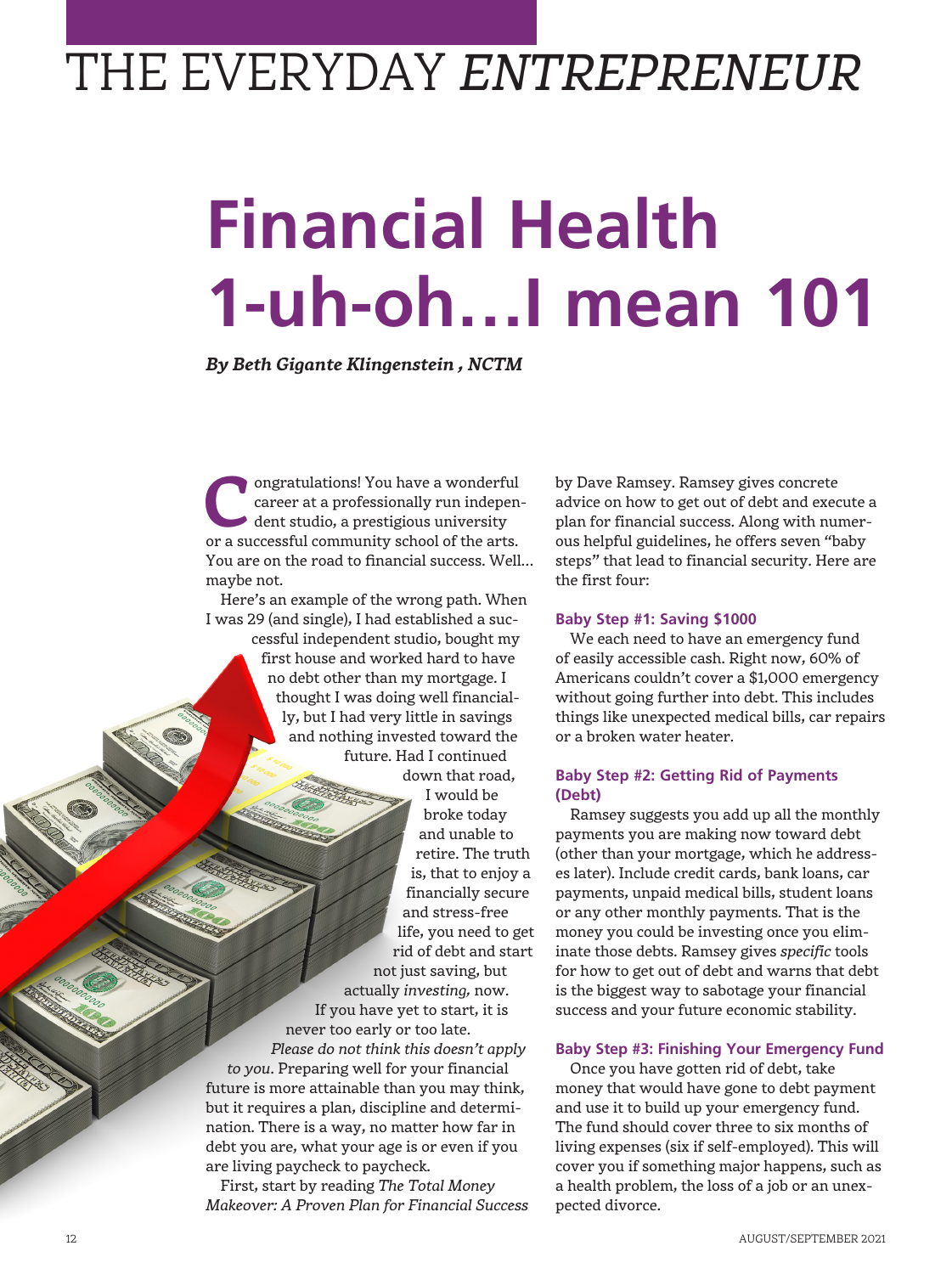## THE EVERYDAY *ENTREPRENEUR*

# **Financial Health 1-uh-oh…I mean 101**

*By Beth Gigante Klingenstein , NCTM*

**Confidence** Congratulations! You have a wonderful career at a professionally run independent studio, a prestigious university or a successful community school of the arts career at a professionally run indepenor a successful community school of the arts. You are on the road to financial success. Well… maybe not.

Here's an example of the wrong path. When I was 29 (and single), I had established a suc-

cessful independent studio, bought my first house and worked hard to have no debt other than my mortgage. I thought I was doing well financially, but I had very little in savings and nothing invested toward the future. Had I continued down that road,

I would be broke today and unable to retire. The truth is, that to enjoy a financially secure and stress-free life, you need to get rid of debt and start not just saving, but actually *investing,* now. If you have yet to start, it is never too early or too late. *Please do not think this doesn't apply to you*. Preparing well for your financial future is more attainable than you may think, but it requires a plan, discipline and determination. There is a way, no matter how far in debt you are, what your age is or even if you are living paycheck to paycheck.

First, start by reading *The Total Money Makeover: A Proven Plan for Financial Success* by Dave Ramsey. Ramsey gives concrete advice on how to get out of debt and execute a plan for financial success. Along with numerous helpful guidelines, he offers seven "baby steps" that lead to financial security. Here are the first four:

### **Baby Step #1: Saving \$1000**

We each need to have an emergency fund of easily accessible cash. Right now, 60% of Americans couldn't cover a \$1,000 emergency without going further into debt. This includes things like unexpected medical bills, car repairs or a broken water heater.

### **Baby Step #2: Getting Rid of Payments (Debt)**

Ramsey suggests you add up all the monthly payments you are making now toward debt (other than your mortgage, which he addresses later). Include credit cards, bank loans, car payments, unpaid medical bills, student loans or any other monthly payments. That is the money you could be investing once you eliminate those debts. Ramsey gives *specific* tools for how to get out of debt and warns that debt is the biggest way to sabotage your financial success and your future economic stability.

### **Baby Step #3: Finishing Your Emergency Fund**

Once you have gotten rid of debt, take money that would have gone to debt payment and use it to build up your emergency fund. The fund should cover three to six months of living expenses (six if self-employed). This will cover you if something major happens, such as a health problem, the loss of a job or an unexpected divorce.